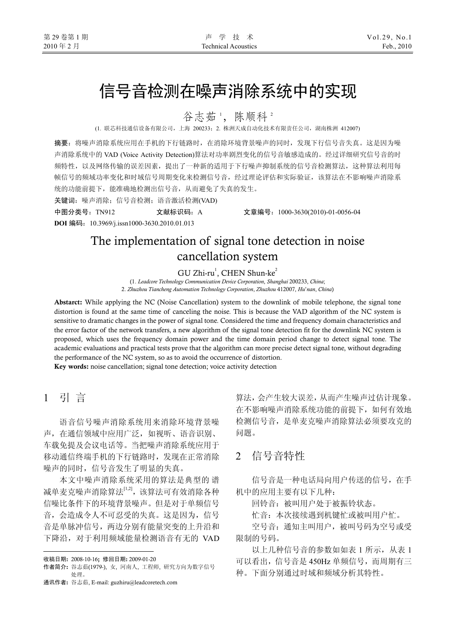# 信号音检测在噪声消除系统中的实现

谷志茹1, 陈顺科2

(1. 联芯科技通信设备有限公司,上海 200233;2. 株洲天成自动化技术有限责任公司,湖南株洲 412007)

摘要:将噪声消除系统应用在手机的下行链路时,在消除环境背景噪声的同时,发现下行信号音失真。这是因为噪 声消除系统中的 VAD (Voice Activity Detection)算法对功率剧烈变化的信号音敏感造成的。经过详细研究信号音的时 频特性,以及网络传输的误差因素,提出了一种新的适用于下行噪声抑制系统的信号音检测算法,这种算法利用每 帧信号的频域功率变化和时域信号周期变化来检测信号音,经过理论评估和实际验证,该算法在不影响噪声消除系 统的功能前提下,能准确地检测出信号音,从而避免了失真的发生。

关键词:噪声消除;信号音检测;语音激活检测(VAD)

中图分类号:TN912 文献标识码:A 文章编号:1000-3630(2010)-01-0056-04

**DOI** 编码:10.3969/j.issn1000-3630.2010.01.013

# The implementation of signal tone detection in noise cancellation system

 $GU$  Zhi-ru $^1$ , CHEN Shun-ke $^2$ 

(1. *Leadcore Technology Communication Device Corporation*, *Shanghai* 200233, *China*; 2. *Zhuzhou Tiancheng Automation Technology Corporation*, *Zhuzhou* 412007, *Hu*'*nan*, *China*)

Abstarct: While applying the NC (Noise Cancellation) system to the downlink of mobile telephone, the signal tone distortion is found at the same time of canceling the noise. This is because the VAD algorithm of the NC system is sensitive to dramatic changes in the power of signal tone. Considered the time and frequency domain characteristics and the error factor of the network transfers, a new algorithm of the signal tone detection fit for the downlink NC system is proposed, which uses the frequency domain power and the time domain period change to detect signal tone. The academic evaluations and practical tests prove that the algorithm can more precise detect signal tone, without degrading the performance of the NC system, so as to avoid the occurrence of distortion.

Key words: noise cancellation; signal tone detection; voice activity detection

## 1 引 言

l

语音信号噪声消除系统用来消除环境背景噪 声,在通信领域中应用广泛,如视听、语音识别、 车载免提及会议电话等。当把噪声消除系统应用于 移动通信终端手机的下行链路时,发现在正常消除 噪声的同时,信号音发生了明显的失真。

本文中噪声消除系统采用的算法是典型的 谱 减单麦克噪声消除算法[1,2],该算法可有效消除各种 信噪比条件下的环境背景噪声。但是对于单频信号 音,会造成令人不可忍受的失真。这是因为,信号 音是单脉冲信号,两边分别有能量突变的上升沿和 下降沿,对于利用频域能量检测语音有无的 VAD 算法,会产生较大误差,从而产生噪声过估计现象。 在不影响噪声消除系统功能的前提下,如何有效地 检测信号音,是单麦克噪声消除算法必须要攻克的 问题。

### 2 信号音特性

信号音是一种电话局向用户传送的信号,在手 机中的应用主要有以下几种:

回铃音:被叫用户处于被振铃状态。

忙音:本次接续遇到机键忙或被叫用户忙。

空号音:通知主叫用户,被叫号码为空号或受 限制的号码。

以上几种信号音的参数如如表 1 所示,从表 1 可以看出,信号音是 450Hz 单频信号,而周期有三 种。下面分别通过时域和频域分析其特性。

收稿日期: 2008-10-16; 修回日期: 2009-01-20

作者简介: 谷志茹(1979-), 女, 河南人, 工程师, 研究方向为数字信号 处理。

通讯作者: 谷志茹, E-mail: guzhiru@leadcoretech.com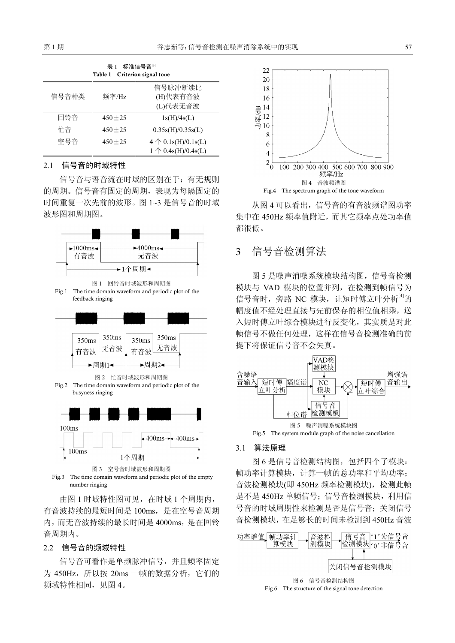| 标准信号音[3]<br>表 1<br>Criterion signal tone<br>Table 1 |              |                                                               |
|-----------------------------------------------------|--------------|---------------------------------------------------------------|
| 信号音种类                                               | 频率/Hz        | 信号脉冲断续比<br>(H)代表有音波<br>(L)代表无音波                               |
| 回铃音                                                 | $450 + 25$   | 1s(H)/4s(L)                                                   |
| 忙音                                                  | $450 + 25$   | 0.35s(H)/0.35s(L)                                             |
| 空号音                                                 | $450 \pm 25$ | $4 \uparrow 0.1$ s(H)/0.1s(L)<br>1 $\uparrow$ 0.4s(H)/0.4s(L) |

### 2.1 信号音的时域特性

信号音与语音流在时域的区别在于:有无规则 的周期。信号音有固定的周期,表现为每隔固定的 时间重复一次先前的波形。图 1~3 是信号音的时域 波形图和周期图。



number ringing

由图 1 时域特性图可见,在时域 1 个周期内, 有音波持续的最短时间是 100ms,是在空号音周期 内,而无音波持续的最长时间是 4000ms,是在回铃 音周期内。

#### 2.2 信号音的频域特性

信号音可看作是单频脉冲信号,并且频率固定 为 450Hz, 所以按 20ms 一帧的数据分析, 它们的 频域特性相同, 见图 4。



从图 4 可以看出,信号音的有音波频谱图功率 集中在 450Hz 频率值附近,而其它频率点处功率值 都很低。

### 3 信号音检测算法

图 5 是噪声消噪系统模块结构图,信号音检测 模块与 VAD 模块的位置并列,在检测到帧信号为 信号音时, 旁路 NC 模块, 让短时傅立叶分析<sup>[4]</sup>的 幅度值不经处理直接与先前保存的相位值相乘,送 入短时傅立叶综合模块进行反变化,其实质是对此 帧信号不做任何处理,这样在信号音检测准确的前 提下将保证信号音不会失真。



### 3.1 算法原理

图 6 是信号音检测结构图,包括四个子模块: 帧功率计算模块,计算一帧的总功率和平均功率; 音波检测模块(即 450Hz 频率检测模块),检测此帧 是不是 450Hz 单频信号; 信号音检测模块, 利用信 号音的时域周期性来检测是否是信号音;关闭信号 音检测模块,在足够长的时间未检测到 450Hz 音波

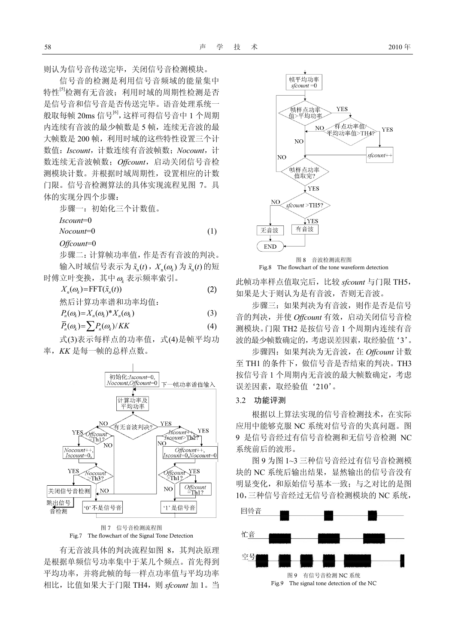则认为信号音传送完毕,关闭信号音检测模块。

信号音的检测是利用信号音频域的能量集中 特性<sup>[5]</sup>检测有无音波: 利用时域的周期性检测是否 是信号音和信号音是否传送完毕。语音处理系统一 般取每帧 20ms 信号<sup>[6]</sup>, 这样可得信号音中 1 个周期 内连续有音波的最少帧数是 5 帧,连续无音波的最 大帧数是 200 帧, 利用时域的这些特性设置三个计 数值:*Iscount*,计数连续有音波帧数;*Nocount*,计 数连续无音波帧数;*Offcount*,启动关闭信号音检 测模块计数。并根据时域周期性,设置相应的计数 门限。信号音检测算法的具体实现流程见图 7。具 体的实现分四个步骤:

步骤一:初始化三个计数值。 *Iscount*=0 *Nocount*=0 (1) *Offcount*=0

步骤二:计算帧功率值,作是否有音波的判决。  $\hat{m}$ 入时域信号表示为 $\tilde{x}_{n}(t)$ ,  $X_{n}(\omega_{k})$  为 $\tilde{x}_{n}(t)$  的短 时傅立叶变换,其中<sup>ω</sup>*<sup>k</sup>* 表示频率索引。

$$
X_n(\omega_k) = \text{FFT}(\tilde{x}_n(t))
$$
\n
$$
\langle X_n(\omega_k) \rangle = \text{FFT}(\tilde{x}_n(t))
$$
\n
$$
\langle X_n(\omega_k) \rangle = \sum_{n=1}^{\infty} (X_n(\omega_k))^* X_n(\omega_k)
$$
\n
$$
\langle X_n(\omega_k) \rangle = \sum_{n=1}^{\infty} (X_n(\omega_k)^* X_n(\omega_k))
$$
\n
$$
(3)
$$

$$
\overline{P}_n(\omega_k) = \sum P_n(\omega_k) / KK \tag{4}
$$

式(3)表示每样点的功率值,式(4)是帧平均功 率,*KK* 是每一帧的总样点数。





有无音波具体的判决流程如图 8,其判决原理 是根据单频信号功率集中于某几个频点。首先得到 平均功率,并将此帧的每一样点功率值与平均功率 相比,比值如果大于门限 TH4,则 *sfcount* 加 1。当





此帧功率样点值取完后,比较 *sfcount* 与门限 TH5, 如果是大于则认为是有音波,否则无音波。

步骤三:如果判决为有音波,则作是否是信号 音的判决,并使 *Offcount* 有效,启动关闭信号音检 测模块。门限 TH2 是按信号音 1 个周期内连续有音 波的最少帧数确定的,考虑误差因素,取经验值'3'。

步骤四:如果判决为无音波,在 *Offcount* 计数 至 TH1 的条件下,做信号音是否结束的判决。TH3 按信号音 1 个周期内无音波的最大帧数确定,考虑 误差因素,取经验值'210'。

### 3.2 功能评测

根据以上算法实现的信号音检测技术,在实际 应用中能够克服 NC 系统对信号音的失真问题。图 9 是信号音经过有信号音检测和无信号音检测 NC 系统前后的波形。

图 9 为图 1~3 三种信号音经过有信号音检测模 块的 NC 系统后输出结果,显然输出的信号音没有 明显变化,和原始信号基本一致;与之对比的是图 10,三种信号音经过无信号音检测模块的 NC 系统,